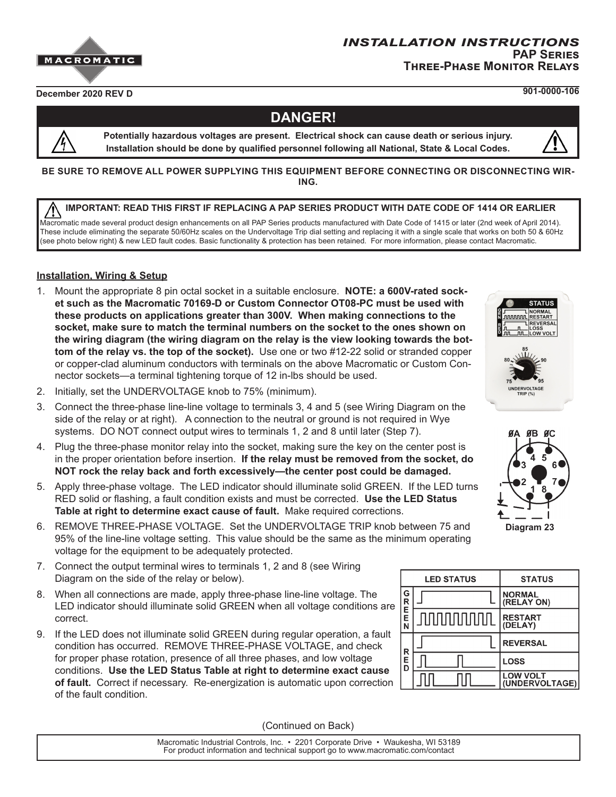## *installation instructions* **PAP Series Three-Phase Monitor Relays**

**December 2020 REV D 901-0000-106**

# **DANGER!**

**Potentially hazardous voltages are present. Electrical shock can cause death or serious injury. Installation should be done by qualified personnel following all National, State & Local Codes.**

**BE SURE TO REMOVE ALL POWER SUPPLYING THIS EQUIPMENT BEFORE CONNECTING OR DISCONNECTING WIR-ING.**

#### **IMPORTANT: READ THIS FIRST IF REPLACING A PAP SERIES PRODUCT WITH DATE CODE OF 1414 OR EARLIER**

Macromatic made several product design enhancements on all PAP Series products manufactured with Date Code of 1415 or later (2nd week of April 2014). These include eliminating the separate 50/60Hz scales on the Undervoltage Trip dial setting and replacing it with a single scale that works on both 50 & 60Hz (see photo below right) & new LED fault codes. Basic functionality & protection has been retained. For more information, please contact Macromatic.

## **Installation, Wiring & Setup**

- 1. Mount the appropriate 8 pin octal socket in a suitable enclosure. **NOTE: a 600V-rated socket such as the Macromatic 70169-D or Custom Connector OT08-PC must be used with these products on applications greater than 300V. When making connections to the socket, make sure to match the terminal numbers on the socket to the ones shown on the wiring diagram (the wiring diagram on the relay is the view looking towards the bottom of the relay vs. the top of the socket).** Use one or two #12-22 solid or stranded copper or copper-clad aluminum conductors with terminals on the above Macromatic or Custom Connector sockets—a terminal tightening torque of 12 in-lbs should be used.
- 2. Initially, set the UNDERVOLTAGE knob to 75% (minimum).





- 3. Connect the three-phase line-line voltage to terminals 3, 4 and 5 (see Wiring Diagram on the side of the relay or at right). A connection to the neutral or ground is not required in Wye systems. DO NOT connect output wires to terminals 1, 2 and 8 until later (Step 7).
- 4. Plug the three-phase monitor relay into the socket, making sure the key on the center post is in the proper orientation before insertion. **If the relay must be removed from the socket, do NOT rock the relay back and forth excessively—the center post could be damaged.**
- 5. Apply three-phase voltage. The LED indicator should illuminate solid GREEN. If the LED turns RED solid or flashing, a fault condition exists and must be corrected. **Use the LED Status Table at right to determine exact cause of fault.** Make required corrections.
- 6. REMOVE THREE-PHASE VOLTAGE. Set the UNDERVOLTAGE TRIP knob between 75 and 95% of the line-line voltage setting. This value should be the same as the minimum operating voltage for the equipment to be adequately protected.
- 7. Connect the output terminal wires to terminals 1, 2 and 8 (see Wiring Diagram on the side of the relay or below).
- 8. When all connections are made, apply three-phase line-line voltage. The LED indicator should illuminate solid GREEN when all voltage conditions are correct.
- 9. If the LED does not illuminate solid GREEN during regular operation, a fault condition has occurred. REMOVE THREE-PHASE VOLTAGE, and check for proper phase rotation, presence of all three phases, and low voltage conditions. **Use the LED Status Table at right to determine exact cause of fault.** Correct if necessary. Re-energization is automatic upon correction of the fault condition.

(Continued on Back)



Macromatic Industrial Controls, Inc. • 2201 Corporate Drive • Waukesha, WI 53189 For product information and technical support go to www.macromatic.com/contact